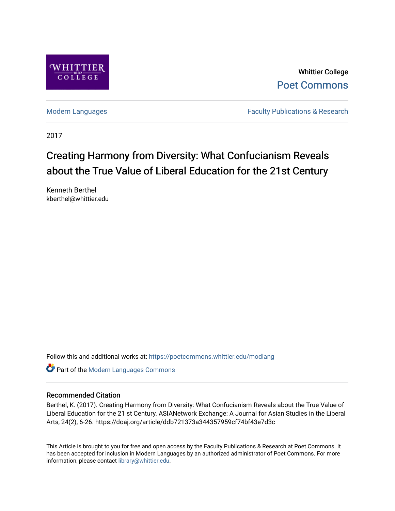

Whittier College [Poet Commons](https://poetcommons.whittier.edu/) 

[Modern Languages](https://poetcommons.whittier.edu/modlang) **Faculty Publications & Research** 

2017

# Creating Harmony from Diversity: What Confucianism Reveals about the True Value of Liberal Education for the 21st Century

Kenneth Berthel kberthel@whittier.edu

Follow this and additional works at: [https://poetcommons.whittier.edu/modlang](https://poetcommons.whittier.edu/modlang?utm_source=poetcommons.whittier.edu%2Fmodlang%2F3&utm_medium=PDF&utm_campaign=PDFCoverPages)

**Part of the Modern Languages Commons** 

### Recommended Citation

Berthel, K. (2017). Creating Harmony from Diversity: What Confucianism Reveals about the True Value of Liberal Education for the 21 st Century. ASIANetwork Exchange: A Journal for Asian Studies in the Liberal Arts, 24(2), 6-26. https://doaj.org/article/ddb721373a344357959cf74bf43e7d3c

This Article is brought to you for free and open access by the Faculty Publications & Research at Poet Commons. It has been accepted for inclusion in Modern Languages by an authorized administrator of Poet Commons. For more information, please contact [library@whittier.edu.](mailto:library@whittier.edu)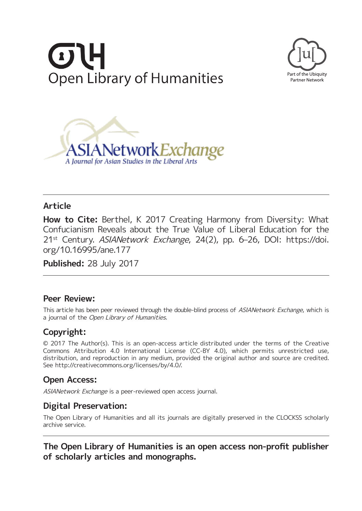





# **Article**

**How to Cite:** Berthel, K 2017 Creating Harmony from Diversity: What Confucianism Reveals about the True Value of Liberal Education for the 21st Century. ASIANetwork Exchange, 24(2), pp. 6–26, DOI: [https://doi.](https://doi.org/10.16995/ane.177) [org/10.16995/ane.177](https://doi.org/10.16995/ane.177)

**Published:** 28 July 2017

## **Peer Review:**

This article has been peer reviewed through the double-blind process of ASIANetwork Exchange, which is a journal of the Open Library of Humanities.

# **Copyright:**

© 2017 The Author(s). This is an open-access article distributed under the terms of the Creative Commons Attribution 4.0 International License (CC-BY 4.0), which permits unrestricted use, distribution, and reproduction in any medium, provided the original author and source are credited. See [http://creativecommons.org/licenses/by/4.0/.](http://creativecommons.org/licenses/by/4.0/)

# **Open Access:**

ASIANetwork Exchange is a peer-reviewed open access journal.

# **Digital Preservation:**

The Open Library of Humanities and all its journals are digitally preserved in the CLOCKSS scholarly archive service.

# **The Open Library of Humanities is an open access non-profit publisher of scholarly articles and monographs.**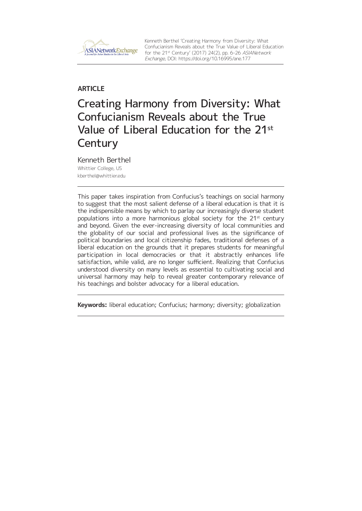

Kenneth Berthel 'Creating Harmony from Diversity: What Confucianism Reveals about the True Value of Liberal Education for the 21st Century' (2017) 24(2), pp. 6–26 ASIANetwork Exchange, DOI:<https://doi.org/10.16995/ane.177>

## **ARTICLE**

# Creating Harmony from Diversity: What Confucianism Reveals about the True Value of Liberal Education for the 21st **Century**

Kenneth Berthel Whittier College, US [kberthel@whittier.edu](mailto:kberthel@whittier.edu)

This paper takes inspiration from Confucius's teachings on social harmony to suggest that the most salient defense of a liberal education is that it is the indispensible means by which to parlay our increasingly diverse student populations into a more harmonious global society for the  $21<sup>st</sup>$  century and beyond. Given the ever-increasing diversity of local communities and the globality of our social and professional lives as the significance of political boundaries and local citizenship fades, traditional defenses of a liberal education on the grounds that it prepares students for meaningful participation in local democracies or that it abstractly enhances life satisfaction, while valid, are no longer sufficient. Realizing that Confucius understood diversity on many levels as essential to cultivating social and universal harmony may help to reveal greater contemporary relevance of his teachings and bolster advocacy for a liberal education.

**Keywords:** liberal education; Confucius; harmony; diversity; globalization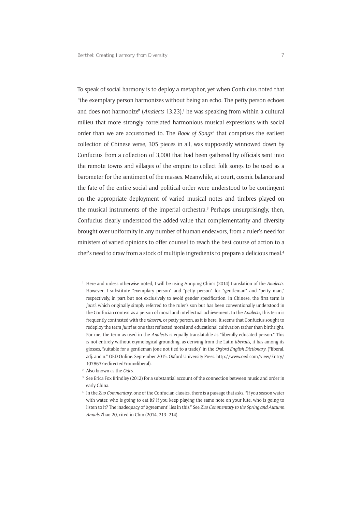To speak of social harmony is to deploy a metaphor, yet when Confucius noted that "the exemplary person harmonizes without being an echo. The petty person echoes and does not harmonize" (Analects 13.23),<sup>1</sup> he was speaking from within a cultural milieu that more strongly correlated harmonious musical expressions with social order than we are accustomed to. The *Book of Songs*<sup>2</sup> that comprises the earliest collection of Chinese verse, 305 pieces in all, was supposedly winnowed down by Confucius from a collection of 3,000 that had been gathered by officials sent into the remote towns and villages of the empire to collect folk songs to be used as a barometer for the sentiment of the masses. Meanwhile, at court, cosmic balance and the fate of the entire social and political order were understood to be contingent on the appropriate deployment of varied musical notes and timbres played on the musical instruments of the imperial orchestra.<sup>3</sup> Perhaps unsurprisingly, then, Confucius clearly understood the added value that complementarity and diversity brought over uniformity in any number of human endeavors, from a ruler's need for ministers of varied opinions to offer counsel to reach the best course of action to a chef's need to draw from a stock of multiple ingredients to prepare a delicious meal.4

<sup>2</sup> Also known as the *Odes*.

<sup>1</sup> Here and unless otherwise noted, I will be using Annping Chin's (2014) translation of the *Analects*. However, I substitute "exemplary person" and "petty person" for "gentleman" and "petty man," respectively, in part but not exclusively to avoid gender specification. In Chinese, the first term is *junzi*, which originally simply referred to the ruler's son but has been conventionally understood in the Confucian context as a person of moral and intellectual achievement. In the *Analects*, this term is frequently contrasted with the *xiaoren*, or petty person, as it is here. It seems that Confucius sought to redeploy the term *junzi* as one that reflected moral and educational cultivation rather than birthright. For me, the term as used in the *Analects* is equally translatable as "liberally educated person." This is not entirely without etymological grounding, as deriving from the Latin *liberalis*, it has among its glosses, "suitable for a gentleman (one not tied to a trade)" in the *Oxford English Dictionary*. ("liberal, adj. and n." OED Online. September 2015. Oxford University Press. [http://www.oed.com/view/Entry/](http://www.oed.com/view/Entry/107863?redirectedFrom=liberal) [107863?redirectedFrom=liberal\)](http://www.oed.com/view/Entry/107863?redirectedFrom=liberal).

<sup>&</sup>lt;sup>3</sup> See Erica Fox Brindley (2012) for a substantial account of the connection between music and order in early China.

<sup>4</sup> In the *Zuo Commentary*, one of the Confucian classics, there is a passage that asks, "If you season water with water, who is going to eat it? If you keep playing the same note on your lute, who is going to listen to it? The inadequacy of 'agreement' lies in this." See *Zuo Commentary to the Spring and Autumn Annals* Zhao 20, cited in Chin (2014, 213–214).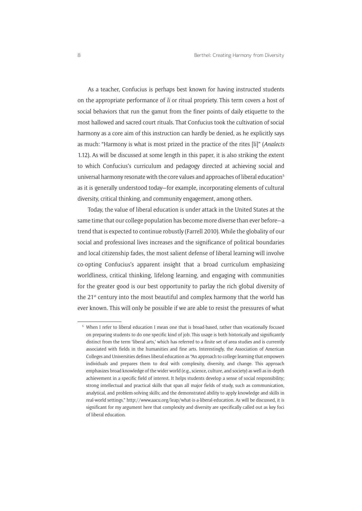As a teacher, Confucius is perhaps best known for having instructed students on the appropriate performance of *li* or ritual propriety. This term covers a host of social behaviors that run the gamut from the finer points of daily etiquette to the most hallowed and sacred court rituals. That Confucius took the cultivation of social harmony as a core aim of this instruction can hardly be denied, as he explicitly says as much: "Harmony is what is most prized in the practice of the rites [li]" (*Analects*  1.12). As will be discussed at some length in this paper, it is also striking the extent to which Confucius's curriculum and pedagogy directed at achieving social and universal harmony resonate with the core values and approaches of liberal education5 as it is generally understood today—for example, incorporating elements of cultural diversity, critical thinking, and community engagement, among others.

Today, the value of liberal education is under attack in the United States at the same time that our college population has become more diverse than ever before—a trend that is expected to continue robustly (Farrell 2010). While the globality of our social and professional lives increases and the significance of political boundaries and local citizenship fades, the most salient defense of liberal learning will involve co-opting Confucius's apparent insight that a broad curriculum emphasizing worldliness, critical thinking, lifelong learning, and engaging with communities for the greater good is our best opportunity to parlay the rich global diversity of the 21<sup>st</sup> century into the most beautiful and complex harmony that the world has ever known. This will only be possible if we are able to resist the pressures of what

<sup>5</sup> When I refer to liberal education I mean one that is broad-based, rather than vocationally focused on preparing students to do one specific kind of job. This usage is both historically and significantly distinct from the term 'liberal arts,' which has referred to a finite set of area studies and is currently associated with fields in the humanities and fine arts. Interestingly, the Association of American Colleges and Universities defines liberal education as "An approach to college learning that empowers individuals and prepares them to deal with complexity, diversity, and change. This approach emphasizes broad knowledge of the wider world (e.g., science, culture, and society) as well as in-depth achievement in a specific field of interest. It helps students develop a sense of social responsibility; strong intellectual and practical skills that span all major fields of study, such as communication, analytical, and problem-solving skills; and the demonstrated ability to apply knowledge and skills in real-world settings."<http://www.aacu.org/leap/what-is-a-liberal-education>. As will be discussed, it is significant for my argument here that complexity and diversity are specifically called out as key foci of liberal education.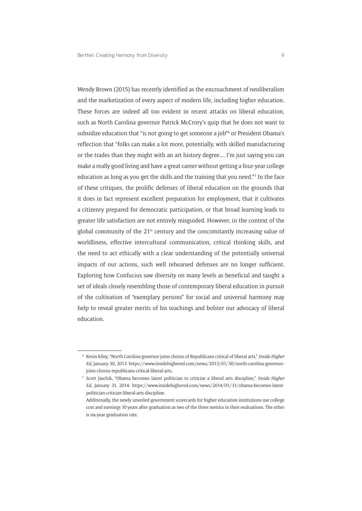Wendy Brown (2015) has recently identified as the encroachment of neoliberalism and the marketization of every aspect of modern life, including higher education. These forces are indeed all too evident in recent attacks on liberal education, such as North Carolina governor Patrick McCrory's quip that he does not want to subsidize education that "is not going to get someone a job"6 or President Obama's reflection that "folks can make a lot more, potentially, with skilled manufacturing or the trades than they might with an art history degree.... I'm just saying you can make a really good living and have a great career without getting a four-year college education as long as you get the skills and the training that you need."7 In the face of these critiques, the prolific defenses of liberal education on the grounds that it does in fact represent excellent preparation for employment, that it cultivates a citizenry prepared for democratic participation, or that broad learning leads to greater life satisfaction are not entirely misguided. However, in the context of the global community of the 21st century and the concomitantly increasing value of worldliness, effective intercultural communication, critical thinking skills, and the need to act ethically with a clear understanding of the potentially universal impacts of our actions, such well rehearsed defenses are no longer sufficient. Exploring how Confucius saw diversity on many levels as beneficial and taught a set of ideals closely resembling those of contemporary liberal education in pursuit of the cultivation of "exemplary persons" for social and universal harmony may help to reveal greater merits of his teachings and bolster our advocacy of liberal education.

<sup>6</sup> Kevin Kiley, "North Carolina governor joins chorus of Republicans critical of liberal arts," *Inside Higher Ed*, January 30, 2013. [https://www.insidehighered.com/news/2013/01/30/north-carolina-governor](https://www.insidehighered.com/news/2013/01/30/north-carolina-governor-joins-chorus-republicans-critical-liberal-arts)[joins-chorus-republicans-critical-liberal-arts](https://www.insidehighered.com/news/2013/01/30/north-carolina-governor-joins-chorus-republicans-critical-liberal-arts).

<sup>7</sup> Scott Jaschik, "Obama becomes latest politician to criticize a liberal arts discipline," *Inside Higher Ed*, January 31, 2014. [https://www.insidehighered.com/news/2014/01/31/obama-becomes-latest](https://www.insidehighered.com/news/2014/01/31/obama-becomes-latest-politician-criticize-liberal-arts-discipline)[politician-criticize-liberal-arts-discipline.](https://www.insidehighered.com/news/2014/01/31/obama-becomes-latest-politician-criticize-liberal-arts-discipline)

Additionally, the newly unveiled government scorecards for higher education institutions use college cost and earnings 10 years after graduation as two of the three metrics in their evaluations. The other is six-year graduation rate.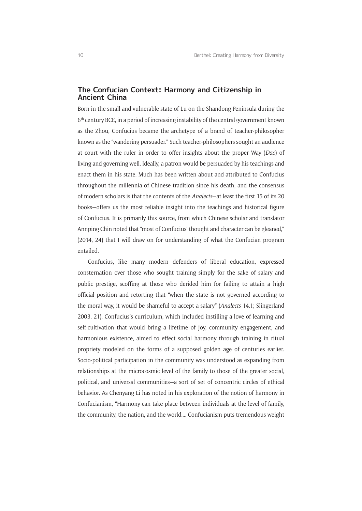### **The Confucian Context: Harmony and Citizenship in Ancient China**

Born in the small and vulnerable state of Lu on the Shandong Peninsula during the 6th century BCE, in a period of increasing instability of the central government known as the Zhou, Confucius became the archetype of a brand of teacher-philosopher known as the "wandering persuader." Such teacher-philosophers sought an audience at court with the ruler in order to offer insights about the proper Way (*Dao*) of living and governing well. Ideally, a patron would be persuaded by his teachings and enact them in his state. Much has been written about and attributed to Confucius throughout the millennia of Chinese tradition since his death, and the consensus of modern scholars is that the contents of the *Analects*—at least the first 15 of its 20 books—offers us the most reliable insight into the teachings and historical figure of Confucius. It is primarily this source, from which Chinese scholar and translator Annping Chin noted that "most of Confucius' thought and character can be gleaned," (2014, 24) that I will draw on for understanding of what the Confucian program entailed.

Confucius, like many modern defenders of liberal education, expressed consternation over those who sought training simply for the sake of salary and public prestige, scoffing at those who derided him for failing to attain a high official position and retorting that "when the state is not governed according to the moral way, it would be shameful to accept a salary" (*Analects* 14.1; Slingerland 2003, 21). Confucius's curriculum, which included instilling a love of learning and self-cultivation that would bring a lifetime of joy, community engagement, and harmonious existence, aimed to effect social harmony through training in ritual propriety modeled on the forms of a supposed golden age of centuries earlier. Socio-political participation in the community was understood as expanding from relationships at the microcosmic level of the family to those of the greater social, political, and universal communities—a sort of set of concentric circles of ethical behavior. As Chenyang Li has noted in his exploration of the notion of harmony in Confucianism, "Harmony can take place between individuals at the level of family, the community, the nation, and the world.... Confucianism puts tremendous weight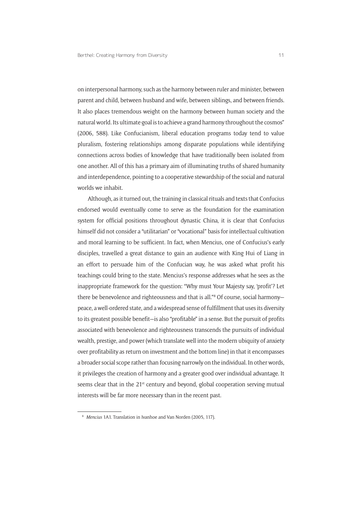on interpersonal harmony, such as the harmony between ruler and minister, between parent and child, between husband and wife, between siblings, and between friends. It also places tremendous weight on the harmony between human society and the natural world. Its ultimate goal is to achieve a grand harmony throughout the cosmos" (2006, 588). Like Confucianism, liberal education programs today tend to value pluralism, fostering relationships among disparate populations while identifying connections across bodies of knowledge that have traditionally been isolated from one another. All of this has a primary aim of illuminating truths of shared humanity and interdependence, pointing to a cooperative stewardship of the social and natural worlds we inhabit.

Although, as it turned out, the training in classical rituals and texts that Confucius endorsed would eventually come to serve as the foundation for the examination system for official positions throughout dynastic China, it is clear that Confucius himself did not consider a "utilitarian" or "vocational" basis for intellectual cultivation and moral learning to be sufficient. In fact, when Mencius, one of Confucius's early disciples, travelled a great distance to gain an audience with King Hui of Liang in an effort to persuade him of the Confucian way, he was asked what profit his teachings could bring to the state. Mencius's response addresses what he sees as the inappropriate framework for the question: "Why must Your Majesty say, 'profit'? Let there be benevolence and righteousness and that is all."<sup>8</sup> Of course, social harmonypeace, a well-ordered state, and a widespread sense of fulfillment that uses its diversity to its greatest possible benefit—is also "profitable" in a sense. But the pursuit of profits associated with benevolence and righteousness transcends the pursuits of individual wealth, prestige, and power (which translate well into the modern ubiquity of anxiety over profitability as return on investment and the bottom line) in that it encompasses a broader social scope rather than focusing narrowly on the individual. In other words, it privileges the creation of harmony and a greater good over individual advantage. It seems clear that in the 21<sup>st</sup> century and beyond, global cooperation serving mutual interests will be far more necessary than in the recent past.

<sup>8</sup> *Mencius* 1A1. Translation in Ivanhoe and Van Norden (2005, 117).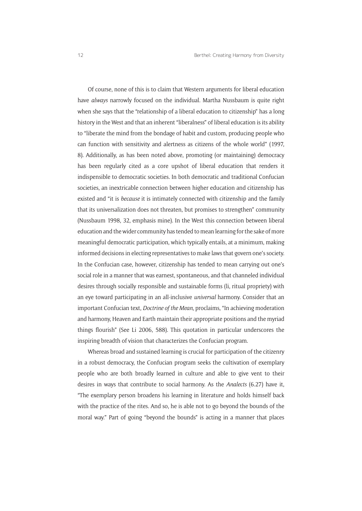Of course, none of this is to claim that Western arguments for liberal education have *always* narrowly focused on the individual. Martha Nussbaum is quite right when she says that the "relationship of a liberal education to citizenship" has a long history in the West and that an inherent "liberalness" of liberal education is its ability to "liberate the mind from the bondage of habit and custom, producing people who can function with sensitivity and alertness as citizens of the whole world" (1997, 8). Additionally, as has been noted above, promoting (or maintaining) democracy has been regularly cited as a core upshot of liberal education that renders it indispensible to democratic societies. In both democratic and traditional Confucian societies, an inextricable connection between higher education and citizenship has existed and "it is *because* it is intimately connected with citizenship and the family that its universalization does not threaten, but promises to strengthen" community (Nussbaum 1998, 32, emphasis mine). In the West this connection between liberal education and the wider community has tended to mean learning for the sake of more meaningful democratic participation, which typically entails, at a minimum, making informed decisions in electing representatives to make laws that govern one's society. In the Confucian case, however, citizenship has tended to mean carrying out one's social role in a manner that was earnest, spontaneous, and that channeled individual desires through socially responsible and sustainable forms (li, ritual propriety) with an eye toward participating in an all-inclusive *universal* harmony. Consider that an important Confucian text, *Doctrine of the Mean*, proclaims, "In achieving moderation and harmony, Heaven and Earth maintain their appropriate positions and the myriad things flourish" (See Li 2006, 588). This quotation in particular underscores the inspiring breadth of vision that characterizes the Confucian program.

Whereas broad and sustained learning is crucial for participation of the citizenry in a robust democracy, the Confucian program seeks the cultivation of exemplary people who are both broadly learned in culture and able to give vent to their desires in ways that contribute to social harmony. As the *Analects* (6.27) have it, "The exemplary person broadens his learning in literature and holds himself back with the practice of the rites. And so, he is able not to go beyond the bounds of the moral way." Part of going "beyond the bounds" is acting in a manner that places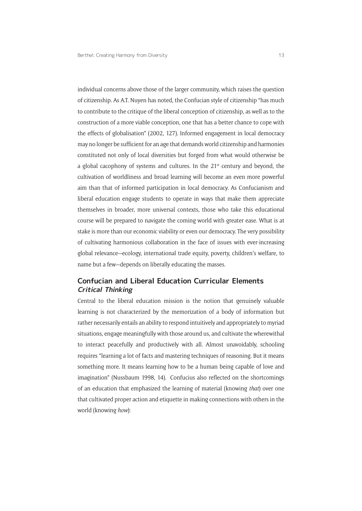individual concerns above those of the larger community, which raises the question of citizenship. As A.T. Nuyen has noted, the Confucian style of citizenship "has much to contribute to the critique of the liberal conception of citizenship, as well as to the construction of a more viable conception, one that has a better chance to cope with the effects of globalisation" (2002, 127). Informed engagement in local democracy may no longer be sufficient for an age that demands world citizenship and harmonies constituted not only of local diversities but forged from what would otherwise be a global cacophony of systems and cultures. In the  $21<sup>st</sup>$  century and beyond, the cultivation of worldliness and broad learning will become an even more powerful aim than that of informed participation in local democracy. As Confucianism and liberal education engage students to operate in ways that make them appreciate themselves in broader, more universal contexts, those who take this educational course will be prepared to navigate the coming world with greater ease. What is at stake is more than our economic viability or even our democracy. The very possibility of cultivating harmonious collaboration in the face of issues with ever-increasing global relevance—ecology, international trade equity, poverty, children's welfare, to name but a few—depends on liberally educating the masses.

### **Confucian and Liberal Education Curricular Elements Critical Thinking**

Central to the liberal education mission is the notion that genuinely valuable learning is not characterized by the memorization of a body of information but rather necessarily entails an ability to respond intuitively and appropriately to myriad situations, engage meaningfully with those around us, and cultivate the wherewithal to interact peacefully and productively with all. Almost unavoidably, schooling requires "learning a lot of facts and mastering techniques of reasoning. But it means something more. It means learning how to be a human being capable of love and imagination" (Nussbaum 1998, 14). Confucius also reflected on the shortcomings of an education that emphasized the learning of material (knowing *that*) over one that cultivated proper action and etiquette in making connections with others in the world (knowing *how*):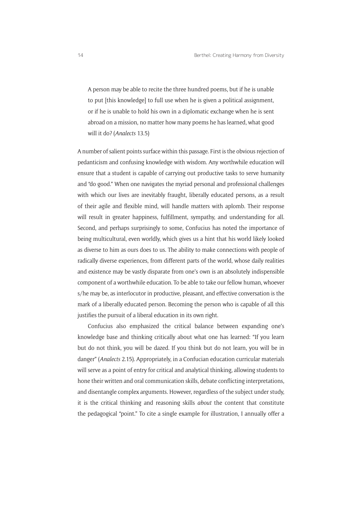A person may be able to recite the three hundred poems, but if he is unable to put [this knowledge] to full use when he is given a political assignment, or if he is unable to hold his own in a diplomatic exchange when he is sent abroad on a mission, no matter how many poems he has learned, what good will it do? (*Analects* 13.5)

A number of salient points surface within this passage. First is the obvious rejection of pedanticism and confusing knowledge with wisdom. Any worthwhile education will ensure that a student is capable of carrying out productive tasks to serve humanity and "do good." When one navigates the myriad personal and professional challenges with which our lives are inevitably fraught, liberally educated persons, as a result of their agile and flexible mind, will handle matters with aplomb. Their response will result in greater happiness, fulfillment, sympathy, and understanding for all. Second, and perhaps surprisingly to some, Confucius has noted the importance of being multicultural, even worldly, which gives us a hint that his world likely looked as diverse to him as ours does to us. The ability to make connections with people of radically diverse experiences, from different parts of the world, whose daily realities and existence may be vastly disparate from one's own is an absolutely indispensible component of a worthwhile education. To be able to take our fellow human, whoever s/he may be, as interlocutor in productive, pleasant, and effective conversation is the mark of a liberally educated person. Becoming the person who is capable of all this justifies the pursuit of a liberal education in its own right.

Confucius also emphasized the critical balance between expanding one's knowledge base and thinking critically about what one has learned: "If you learn but do not think, you will be dazed. If you think but do not learn, you will be in danger" (*Analects* 2.15). Appropriately, in a Confucian education curricular materials will serve as a point of entry for critical and analytical thinking, allowing students to hone their written and oral communication skills, debate conflicting interpretations, and disentangle complex arguments. However, regardless of the subject under study, it is the critical thinking and reasoning skills *about* the content that constitute the pedagogical "point." To cite a single example for illustration, I annually offer a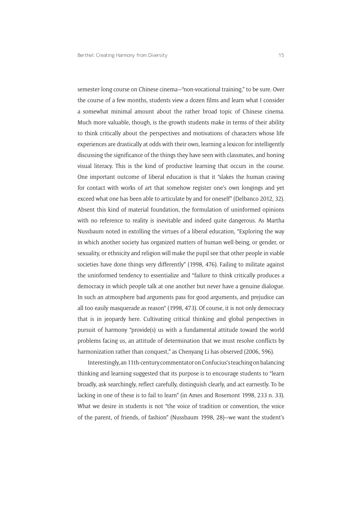semester-long course on Chinese cinema—"non-vocational training," to be sure. Over the course of a few months, students view a dozen films and learn what I consider a somewhat minimal amount about the rather broad topic of Chinese cinema. Much more valuable, though, is the growth students make in terms of their ability to think critically about the perspectives and motivations of characters whose life experiences are drastically at odds with their own, learning a lexicon for intelligently discussing the significance of the things they have seen with classmates, and honing visual literacy. This is the kind of productive learning that occurs in the course. One important outcome of liberal education is that it "slakes the human craving for contact with works of art that somehow register one's own longings and yet exceed what one has been able to articulate by and for oneself" (Delbanco 2012, 32). Absent this kind of material foundation, the formulation of uninformed opinions with no reference to reality is inevitable and indeed quite dangerous. As Martha Nussbaum noted in extolling the virtues of a liberal education, "Exploring the way in which another society has organized matters of human well-being, or gender, or sexuality, or ethnicity and religion will make the pupil see that other people in viable societies have done things very differently" (1998, 476). Failing to militate against the uninformed tendency to essentialize and "failure to think critically produces a democracy in which people talk at one another but never have a genuine dialogue. In such an atmosphere bad arguments pass for good arguments, and prejudice can all too easily masquerade as reason" (1998, 473). Of course, it is not only democracy that is in jeopardy here. Cultivating critical thinking and global perspectives in pursuit of harmony "provide(s) us with a fundamental attitude toward the world problems facing us, an attitude of determination that we must resolve conflicts by harmonization rather than conquest," as Chenyang Li has observed (2006, 596).

Interestingly, an 11th-century commentator on Confucius's teaching on balancing thinking and learning suggested that its purpose is to encourage students to "learn broadly, ask searchingly, reflect carefully, distinguish clearly, and act earnestly. To be lacking in one of these is to fail to learn" (in Ames and Rosemont 1998, 233 n. 33). What we desire in students is not "the voice of tradition or convention, the voice of the parent, of friends, of fashion" (Nussbaum 1998, 28)—we want the student's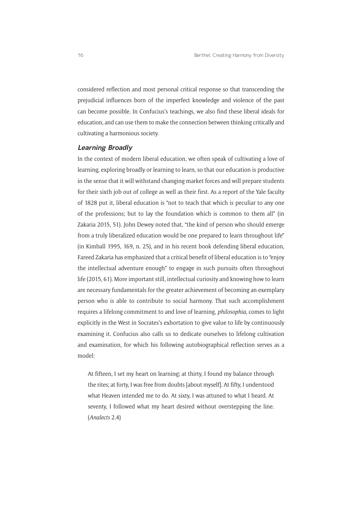considered reflection and most personal critical response so that transcending the prejudicial influences born of the imperfect knowledge and violence of the past can become possible. In Confucius's teachings, we also find these liberal ideals for education, and can use them to make the connection between thinking critically and cultivating a harmonious society.

#### **Learning Broadly**

In the context of modern liberal education, we often speak of cultivating a love of learning, exploring broadly or learning to learn, so that our education is productive in the sense that it will withstand changing market forces and will prepare students for their sixth job out of college as well as their first. As a report of the Yale faculty of 1828 put it, liberal education is "not to teach that which is peculiar to any one of the professions; but to lay the foundation which is common to them all" (in Zakaria 2015, 51). John Dewey noted that, "the kind of person who should emerge from a truly liberalized education would be one prepared to learn throughout life" (in Kimball 1995, 169, n. 25), and in his recent book defending liberal education, Fareed Zakaria has emphasized that a critical benefit of liberal education is to "enjoy the intellectual adventure enough" to engage in such pursuits often throughout life (2015, 61). More important still, intellectual curiosity and knowing how to learn are necessary fundamentals for the greater achievement of becoming an exemplary person who is able to contribute to social harmony. That such accomplishment requires a lifelong commitment to and love of learning, *philosophia*, comes to light explicitly in the West in Socrates's exhortation to give value to life by continuously examining it. Confucius also calls us to dedicate ourselves to lifelong cultivation and examination, for which his following autobiographical reflection serves as a model:

At fifteen, I set my heart on learning; at thirty, I found my balance through the rites; at forty, I was free from doubts [about myself]. At fifty, I understood what Heaven intended me to do. At sixty, I was attuned to what I heard. At seventy, I followed what my heart desired without overstepping the line. (*Analects* 2.4)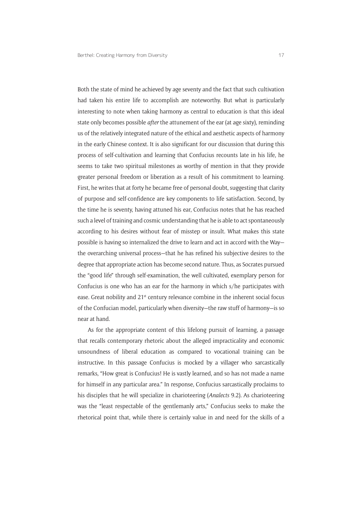Both the state of mind he achieved by age seventy and the fact that such cultivation had taken his entire life to accomplish are noteworthy. But what is particularly interesting to note when taking harmony as central to education is that this ideal state only becomes possible *after* the attunement of the ear (at age sixty), reminding us of the relatively integrated nature of the ethical and aesthetic aspects of harmony in the early Chinese context. It is also significant for our discussion that during this process of self-cultivation and learning that Confucius recounts late in his life, he seems to take two spiritual milestones as worthy of mention in that they provide greater personal freedom or liberation as a result of his commitment to learning. First, he writes that at forty he became free of personal doubt, suggesting that clarity of purpose and self-confidence are key components to life satisfaction. Second, by the time he is seventy, having attuned his ear, Confucius notes that he has reached such a level of training and cosmic understanding that he is able to act spontaneously according to his desires without fear of misstep or insult. What makes this state possible is having so internalized the drive to learn and act in accord with the Way the overarching universal process—that he has refined his subjective desires to the degree that appropriate action has become second nature. Thus, as Socrates pursued the "good life" through self-examination, the well cultivated, exemplary person for Confucius is one who has an ear for the harmony in which s/he participates with ease. Great nobility and 21<sup>st</sup> century relevance combine in the inherent social focus of the Confucian model, particularly when diversity—the raw stuff of harmony—is so near at hand.

As for the appropriate content of this lifelong pursuit of learning, a passage that recalls contemporary rhetoric about the alleged impracticality and economic unsoundness of liberal education as compared to vocational training can be instructive. In this passage Confucius is mocked by a villager who sarcastically remarks, "How great is Confucius! He is vastly learned, and so has not made a name for himself in any particular area." In response, Confucius sarcastically proclaims to his disciples that he will specialize in charioteering (*Analects* 9.2). As charioteering was the "least respectable of the gentlemanly arts," Confucius seeks to make the rhetorical point that, while there is certainly value in and need for the skills of a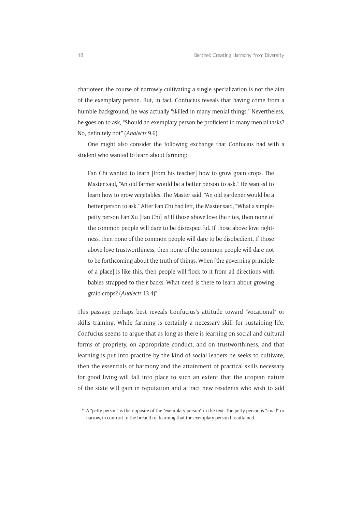charioteer, the course of narrowly cultivating a single specialization is not the aim of the exemplary person. But, in fact, Confucius reveals that having come from a humble background, he was actually "skilled in many menial things." Nevertheless, he goes on to ask, "Should an exemplary person be proficient in many menial tasks? No, definitely not" (*Analects* 9.6).

One might also consider the following exchange that Confucius had with a student who wanted to learn about farming:

Fan Chi wanted to learn [from his teacher] how to grow grain crops. The Master said, "An old farmer would be a better person to ask." He wanted to learn how to grow vegetables. The Master said, "An old gardener would be a better person to ask." After Fan Chi had left, the Master said, "What a simplepetty person Fan Xu [Fan Chi] is! If those above love the rites, then none of the common people will dare to be disrespectful. If those above love rightness, then none of the common people will dare to be disobedient. If those above love trustworthiness, then none of the common people will dare not to be forthcoming about the truth of things. When [the governing principle of a place] is like this, then people will flock to it from all directions with babies strapped to their backs. What need is there to learn about growing grain crops? (*Analects* 13.4)9

This passage perhaps best reveals Confucius's attitude toward "vocational" or skills training. While farming is certainly a necessary skill for sustaining life, Confucius seems to argue that as long as there is learning on social and cultural forms of propriety, on appropriate conduct, and on trustworthiness, and that learning is put into practice by the kind of social leaders he seeks to cultivate, then the essentials of harmony and the attainment of practical skills necessary for good living will fall into place to such an extent that the utopian nature of the state will gain in reputation and attract new residents who wish to add

<sup>9</sup> A "petty person" is the opposite of the "exemplary person" in the text. The petty person is "small" or narrow, in contrast to the breadth of learning that the exemplary person has attained.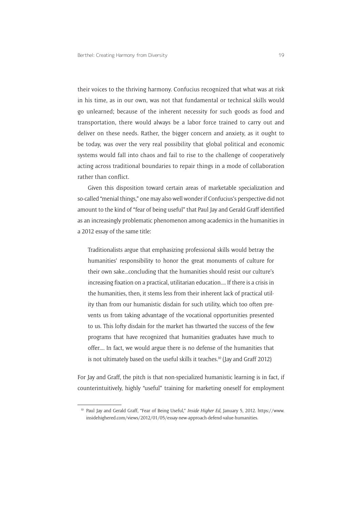their voices to the thriving harmony. Confucius recognized that what was at risk in his time, as in our own, was not that fundamental or technical skills would go unlearned; because of the inherent necessity for such goods as food and transportation, there would always be a labor force trained to carry out and deliver on these needs. Rather, the bigger concern and anxiety, as it ought to be today, was over the very real possibility that global political and economic systems would fall into chaos and fail to rise to the challenge of cooperatively acting across traditional boundaries to repair things in a mode of collaboration rather than conflict.

Given this disposition toward certain areas of marketable specialization and so-called "menial things," one may also well wonder if Confucius's perspective did not amount to the kind of "fear of being useful" that Paul Jay and Gerald Graff identified as an increasingly problematic phenomenon among academics in the humanities in a 2012 essay of the same title:

Traditionalists argue that emphasizing professional skills would betray the humanities' responsibility to honor the great monuments of culture for their own sake...concluding that the humanities should resist our culture's increasing fixation on a practical, utilitarian education.... If there is a crisis in the humanities, then, it stems less from their inherent lack of practical utility than from our humanistic disdain for such utility, which too often prevents us from taking advantage of the vocational opportunities presented to us. This lofty disdain for the market has thwarted the success of the few programs that have recognized that humanities graduates have much to offer.... In fact, we would argue there is no defense of the humanities that is not ultimately based on the useful skills it teaches.<sup>10</sup> (Jay and Graff 2012)

For Jay and Graff, the pitch is that non-specialized humanistic learning is in fact, if counterintuitively, highly "useful" training for marketing oneself for employment

<sup>10</sup> Paul Jay and Gerald Graff, "Fear of Being Useful," *Inside Higher Ed*, January 5, 2012. [https://www.](https://www.insidehighered.com/views/2012/01/05/essay-new-approach-defend-value-humanities) [insidehighered.com/views/2012/01/05/essay-new-approach-defend-value-humanities](https://www.insidehighered.com/views/2012/01/05/essay-new-approach-defend-value-humanities).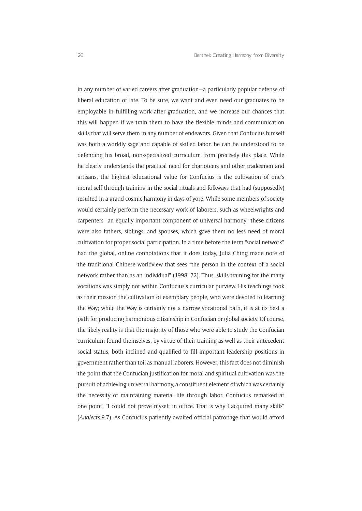in any number of varied careers after graduation—a particularly popular defense of liberal education of late. To be sure, we want and even need our graduates to be employable in fulfilling work after graduation, and we increase our chances that this will happen if we train them to have the flexible minds and communication skills that will serve them in any number of endeavors. Given that Confucius himself was both a worldly sage and capable of skilled labor, he can be understood to be defending his broad, non-specialized curriculum from precisely this place. While he clearly understands the practical need for charioteers and other tradesmen and artisans, the highest educational value for Confucius is the cultivation of one's moral self through training in the social rituals and folkways that had (supposedly) resulted in a grand cosmic harmony in days of yore. While some members of society would certainly perform the necessary work of laborers, such as wheelwrights and carpenters—an equally important component of universal harmony—these citizens were also fathers, siblings, and spouses, which gave them no less need of moral cultivation for proper social participation. In a time before the term "social network" had the global, online connotations that it does today, Julia Ching made note of the traditional Chinese worldview that sees "the person in the context of a social network rather than as an individual" (1998, 72). Thus, skills training for the many vocations was simply not within Confucius's curricular purview. His teachings took as their mission the cultivation of exemplary people, who were devoted to learning the Way; while the Way is certainly not a narrow vocational path, it is at its best a path for producing harmonious citizenship in Confucian or global society. Of course, the likely reality is that the majority of those who were able to study the Confucian curriculum found themselves, by virtue of their training as well as their antecedent social status, both inclined and qualified to fill important leadership positions in government rather than toil as manual laborers. However, this fact does not diminish the point that the Confucian justification for moral and spiritual cultivation was the pursuit of achieving universal harmony, a constituent element of which was certainly the necessity of maintaining material life through labor. Confucius remarked at one point, "I could not prove myself in office. That is why I acquired many skills" (*Analects* 9.7). As Confucius patiently awaited official patronage that would afford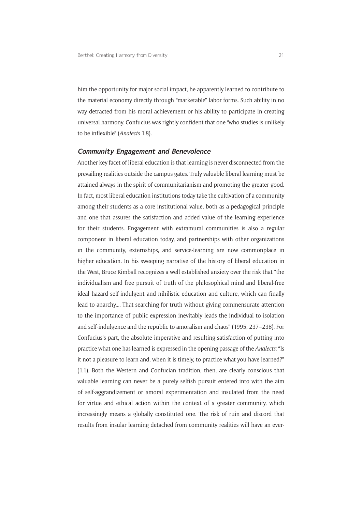him the opportunity for major social impact, he apparently learned to contribute to the material economy directly through "marketable" labor forms. Such ability in no way detracted from his moral achievement or his ability to participate in creating universal harmony. Confucius was rightly confident that one "who studies is unlikely to be inflexible" (*Analects* 1.8).

#### **Community Engagement and Benevolence**

Another key facet of liberal education is that learning is never disconnected from the prevailing realities outside the campus gates. Truly valuable liberal learning must be attained always in the spirit of communitarianism and promoting the greater good. In fact, most liberal education institutions today take the cultivation of a community among their students as a core institutional value, both as a pedagogical principle and one that assures the satisfaction and added value of the learning experience for their students. Engagement with extramural communities is also a regular component in liberal education today, and partnerships with other organizations in the community, externships, and service-learning are now commonplace in higher education. In his sweeping narrative of the history of liberal education in the West, Bruce Kimball recognizes a well established anxiety over the risk that "the individualism and free pursuit of truth of the philosophical mind and liberal-free ideal hazard self-indulgent and nihilistic education and culture, which can finally lead to anarchy.... That searching for truth without giving commensurate attention to the importance of public expression inevitably leads the individual to isolation and self-indulgence and the republic to amoralism and chaos" (1995, 237–238). For Confucius's part, the absolute imperative and resulting satisfaction of putting into practice what one has learned is expressed in the opening passage of the *Analects*: "Is it not a pleasure to learn and, when it is timely, to practice what you have learned?" (1.1). Both the Western and Confucian tradition, then, are clearly conscious that valuable learning can never be a purely selfish pursuit entered into with the aim of self-aggrandizement or amoral experimentation and insulated from the need for virtue and ethical action within the context of a greater community, which increasingly means a globally constituted one. The risk of ruin and discord that results from insular learning detached from community realities will have an ever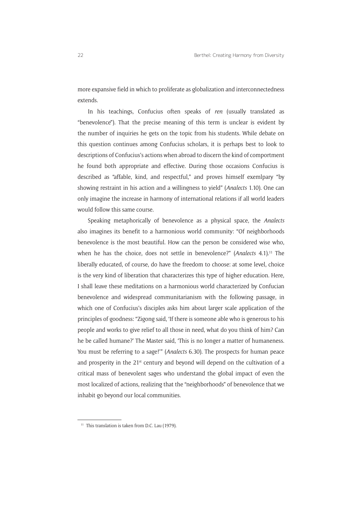more expansive field in which to proliferate as globalization and interconnectedness extends.

In his teachings, Confucius often speaks of *ren* (usually translated as "benevolence"). That the precise meaning of this term is unclear is evident by the number of inquiries he gets on the topic from his students. While debate on this question continues among Confucius scholars, it is perhaps best to look to descriptions of Confucius's actions when abroad to discern the kind of comportment he found both appropriate and effective. During those occasions Confucius is described as "affable, kind, and respectful," and proves himself exemlpary "by showing restraint in his action and a willingness to yield" (*Analects* 1.10). One can only imagine the increase in harmony of international relations if all world leaders would follow this same course.

Speaking metaphorically of benevolence as a physical space, the *Analects* also imagines its benefit to a harmonious world community: "Of neighborhoods benevolence is the most beautiful. How can the person be considered wise who, when he has the choice, does not settle in benevolence?" (*Analects* 4.1).<sup>11</sup> The liberally educated, of course, do have the freedom to choose: at some level, choice is the very kind of liberation that characterizes this type of higher education. Here, I shall leave these meditations on a harmonious world characterized by Confucian benevolence and widespread communitarianism with the following passage, in which one of Confucius's disciples asks him about larger scale application of the principles of goodness: "Zigong said, 'If there is someone able who is generous to his people and works to give relief to all those in need, what do you think of him? Can he be called humane?' The Master said, 'This is no longer a matter of humaneness. You must be referring to a sage!'" (*Analects* 6.30). The prospects for human peace and prosperity in the  $21^{st}$  century and beyond will depend on the cultivation of a critical mass of benevolent sages who understand the global impact of even the most localized of actions, realizing that the "neighborhoods" of benevolence that we inhabit go beyond our local communities.

<sup>&</sup>lt;sup>11</sup> This translation is taken from D.C. Lau (1979).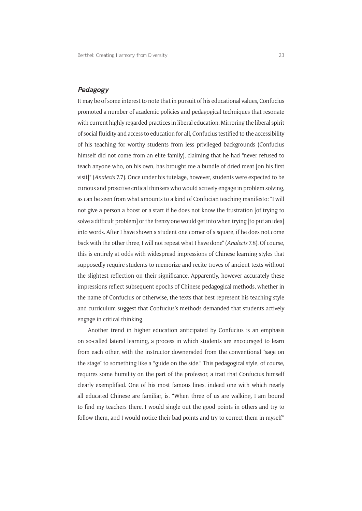### **Pedagogy**

It may be of some interest to note that in pursuit of his educational values, Confucius promoted a number of academic policies and pedagogical techniques that resonate with current highly regarded practices in liberal education. Mirroring the liberal spirit of social fluidity and access to education for all, Confucius testified to the accessibility of his teaching for worthy students from less privileged backgrounds (Confucius himself did not come from an elite family), claiming that he had "never refused to teach anyone who, on his own, has brought me a bundle of dried meat [on his first visit]" (*Analects* 7.7). Once under his tutelage, however, students were expected to be curious and proactive critical thinkers who would actively engage in problem solving, as can be seen from what amounts to a kind of Confucian teaching manifesto: "I will not give a person a boost or a start if he does not know the frustration [of trying to solve a difficult problem] or the frenzy one would get into when trying [to put an idea] into words. After I have shown a student one corner of a square, if he does not come back with the other three, I will not repeat what I have done" (*Analects* 7.8). Of course, this is entirely at odds with widespread impressions of Chinese learning styles that supposedly require students to memorize and recite troves of ancient texts without the slightest reflection on their significance. Apparently, however accurately these impressions reflect subsequent epochs of Chinese pedagogical methods, whether in the name of Confucius or otherwise, the texts that best represent his teaching style and curriculum suggest that Confucius's methods demanded that students actively engage in critical thinking.

Another trend in higher education anticipated by Confucius is an emphasis on so-called lateral learning, a process in which students are encouraged to learn from each other, with the instructor downgraded from the conventional "sage on the stage" to something like a "guide on the side." This pedagogical style, of course, requires some humility on the part of the professor, a trait that Confucius himself clearly exemplified. One of his most famous lines, indeed one with which nearly all educated Chinese are familiar, is, "When three of us are walking, I am bound to find my teachers there. I would single out the good points in others and try to follow them, and I would notice their bad points and try to correct them in myself"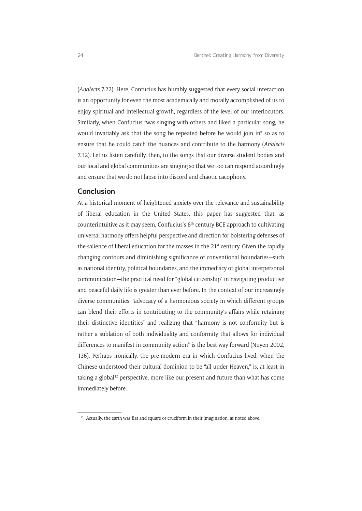(*Analects* 7.22). Here, Confucius has humbly suggested that every social interaction is an opportunity for even the most academically and morally accomplished of us to enjoy spiritual and intellectual growth, regardless of the level of our interlocutors. Similarly, when Confucius "was singing with others and liked a particular song, he would invariably ask that the song be repeated before he would join in" so as to ensure that he could catch the nuances and contribute to the harmony (*Analects*  7.32). Let us listen carefully, then, to the songs that our diverse student bodies and our local and global communities are singing so that we too can respond accordingly and ensure that we do not lapse into discord and chaotic cacophony.

### **Conclusion**

At a historical moment of heightened anxiety over the relevance and sustainability of liberal education in the United States, this paper has suggested that, as counterintuitive as it may seem, Confucius's  $6<sup>th</sup>$  century BCE approach to cultivating universal harmony offers helpful perspective and direction for bolstering defenses of the salience of liberal education for the masses in the  $21<sup>st</sup>$  century. Given the rapidly changing contours and diminishing significance of conventional boundaries—such as national identity, political boundaries, and the immediacy of global interpersonal communication—the practical need for "global citizenship" in navigating productive and peaceful daily life is greater than ever before. In the context of our increasingly diverse communities, "advocacy of a harmonious society in which different groups can blend their efforts in contributing to the community's affairs while retaining their distinctive identities" and realizing that "harmony is not conformity but is rather a sublation of both individuality and conformity that allows for individual differences to manifest in community action" is the best way forward (Nuyen 2002, 136). Perhaps ironically, the pre-modern era in which Confucius lived, when the Chinese understood their cultural dominion to be "all under Heaven," is, at least in taking a global<sup>12</sup> perspective, more like our present and future than what has come immediately before.

 $12$  Actually, the earth was flat and square or cruciform in their imagination, as noted above.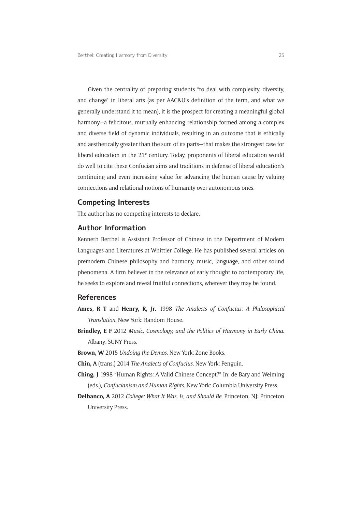Given the centrality of preparing students "to deal with complexity, diversity, and change" in liberal arts (as per AAC&U's definition of the term, and what we generally understand it to mean), it is the prospect for creating a meaningful global harmony—a felicitous, mutually enhancing relationship formed among a complex and diverse field of dynamic individuals, resulting in an outcome that is ethically and aesthetically greater than the sum of its parts—that makes the strongest case for liberal education in the 21<sup>st</sup> century. Today, proponents of liberal education would do well to cite these Confucian aims and traditions in defense of liberal education's continuing and even increasing value for advancing the human cause by valuing connections and relational notions of humanity over autonomous ones.

### **Competing Interests**

The author has no competing interests to declare.

#### **Author Information**

Kenneth Berthel is Assistant Professor of Chinese in the Department of Modern Languages and Literatures at Whittier College. He has published several articles on premodern Chinese philosophy and harmony, music, language, and other sound phenomena. A firm believer in the relevance of early thought to contemporary life, he seeks to explore and reveal fruitful connections, wherever they may be found.

#### **References**

- **Ames, R T** and **Henry, R, Jr.** 1998 *The Analects of Confucius: A Philosophical Translation*. New York: Random House.
- **Brindley, E F** 2012 *Music, Cosmology, and the Politics of Harmony in Early China*. Albany: SUNY Press.
- **Brown, W** 2015 *Undoing the Demos*. New York: Zone Books.

**Chin, A** (trans.) 2014 *The Analects of Confucius*. New York: Penguin.

- **Ching, J** 1998 "Human Rights: A Valid Chinese Concept?" In: de Bary and Weiming (eds.), *Confucianism and Human Rights*. New York: Columbia University Press.
- **Delbanco, A** 2012 *College: What It Was, Is, and Should Be*. Princeton, NJ: Princeton University Press.